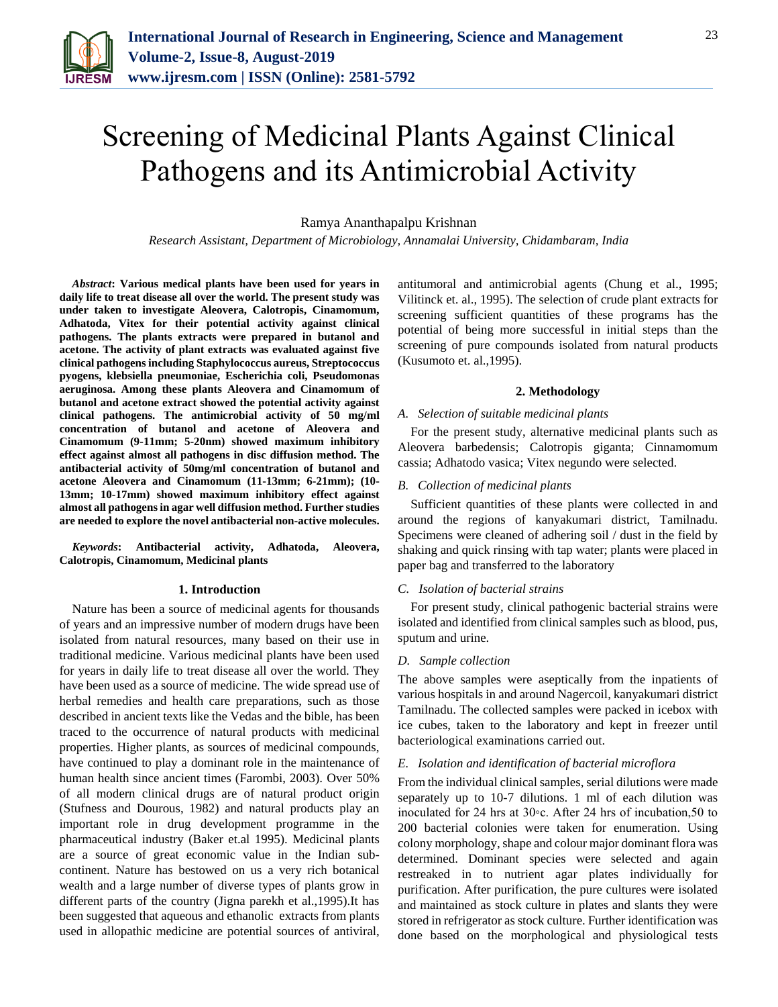

# Screening of Medicinal Plants Against Clinical Pathogens and its Antimicrobial Activity

Ramya Ananthapalpu Krishnan

*Research Assistant, Department of Microbiology, Annamalai University, Chidambaram, India*

*Abstract***: Various medical plants have been used for years in daily life to treat disease all over the world. The present study was under taken to investigate Aleovera, Calotropis, Cinamomum, Adhatoda, Vitex for their potential activity against clinical pathogens. The plants extracts were prepared in butanol and acetone. The activity of plant extracts was evaluated against five clinical pathogens including Staphylococcus aureus, Streptococcus pyogens, klebsiella pneumoniae, Escherichia coli, Pseudomonas aeruginosa. Among these plants Aleovera and Cinamomum of butanol and acetone extract showed the potential activity against clinical pathogens. The antimicrobial activity of 50 mg/ml concentration of butanol and acetone of Aleovera and Cinamomum (9-11mm; 5-20nm) showed maximum inhibitory effect against almost all pathogens in disc diffusion method. The antibacterial activity of 50mg/ml concentration of butanol and acetone Aleovera and Cinamomum (11-13mm; 6-21mm); (10- 13mm; 10-17mm) showed maximum inhibitory effect against almost all pathogens in agar well diffusion method. Further studies are needed to explore the novel antibacterial non-active molecules.** 

*Keywords***: Antibacterial activity, Adhatoda, Aleovera, Calotropis, Cinamomum, Medicinal plants**

#### **1. Introduction**

Nature has been a source of medicinal agents for thousands of years and an impressive number of modern drugs have been isolated from natural resources, many based on their use in traditional medicine. Various medicinal plants have been used for years in daily life to treat disease all over the world. They have been used as a source of medicine. The wide spread use of herbal remedies and health care preparations, such as those described in ancient texts like the Vedas and the bible, has been traced to the occurrence of natural products with medicinal properties. Higher plants, as sources of medicinal compounds, have continued to play a dominant role in the maintenance of human health since ancient times (Farombi, 2003). Over 50% of all modern clinical drugs are of natural product origin (Stufness and Dourous, 1982) and natural products play an important role in drug development programme in the pharmaceutical industry (Baker et.al 1995). Medicinal plants are a source of great economic value in the Indian subcontinent. Nature has bestowed on us a very rich botanical wealth and a large number of diverse types of plants grow in different parts of the country (Jigna parekh et al.,1995).It has been suggested that aqueous and ethanolic extracts from plants used in allopathic medicine are potential sources of antiviral, antitumoral and antimicrobial agents (Chung et al., 1995; Vilitinck et. al., 1995). The selection of crude plant extracts for screening sufficient quantities of these programs has the potential of being more successful in initial steps than the screening of pure compounds isolated from natural products (Kusumoto et. al.,1995).

#### **2. Methodology**

#### *A. Selection of suitable medicinal plants*

For the present study, alternative medicinal plants such as Aleovera barbedensis; Calotropis giganta; Cinnamomum cassia; Adhatodo vasica; Vitex negundo were selected.

#### *B. Collection of medicinal plants*

Sufficient quantities of these plants were collected in and around the regions of kanyakumari district, Tamilnadu. Specimens were cleaned of adhering soil / dust in the field by shaking and quick rinsing with tap water; plants were placed in paper bag and transferred to the laboratory

#### *C. Isolation of bacterial strains*

For present study, clinical pathogenic bacterial strains were isolated and identified from clinical samples such as blood, pus, sputum and urine.

#### *D. Sample collection*

The above samples were aseptically from the inpatients of various hospitals in and around Nagercoil, kanyakumari district Tamilnadu. The collected samples were packed in icebox with ice cubes, taken to the laboratory and kept in freezer until bacteriological examinations carried out.

#### *E. Isolation and identification of bacterial microflora*

From the individual clinical samples, serial dilutions were made separately up to 10-7 dilutions. 1 ml of each dilution was inoculated for 24 hrs at 30◦c. After 24 hrs of incubation,50 to 200 bacterial colonies were taken for enumeration. Using colony morphology, shape and colour major dominant flora was determined. Dominant species were selected and again restreaked in to nutrient agar plates individually for purification. After purification, the pure cultures were isolated and maintained as stock culture in plates and slants they were stored in refrigerator as stock culture. Further identification was done based on the morphological and physiological tests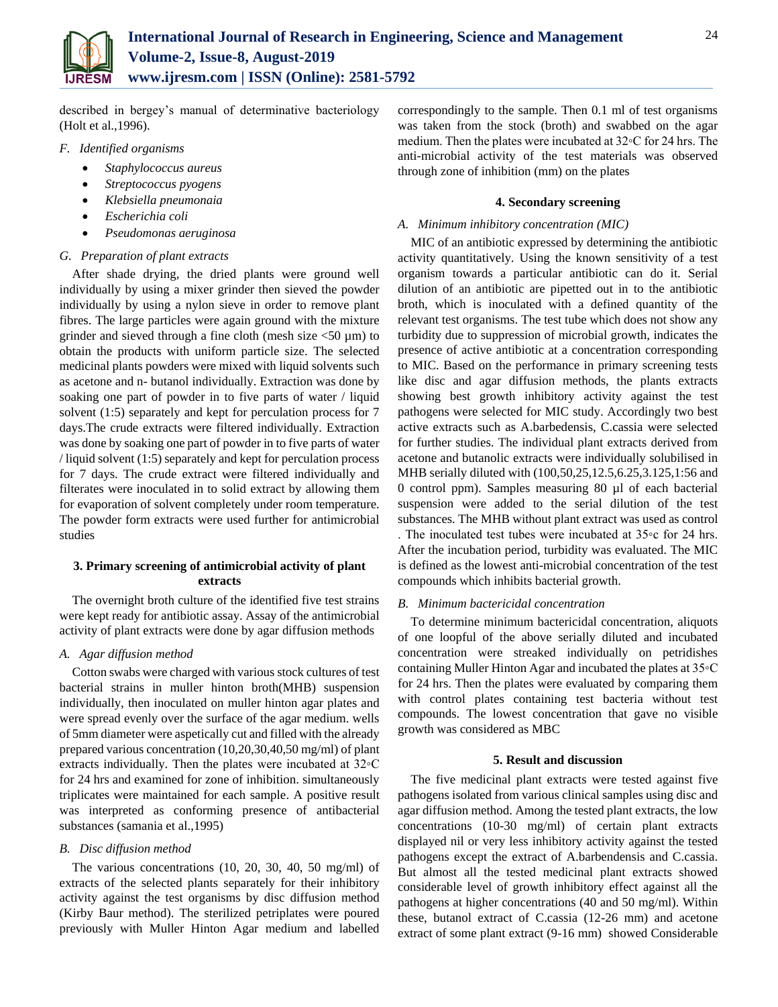

described in bergey's manual of determinative bacteriology (Holt et al.,1996).

- *F. Identified organisms*
	- *Staphylococcus aureus*
	- *Streptococcus pyogens*
	- *Klebsiella pneumonaia*
	- *Escherichia coli*
	- *Pseudomonas aeruginosa*

# *G. Preparation of plant extracts*

After shade drying, the dried plants were ground well individually by using a mixer grinder then sieved the powder individually by using a nylon sieve in order to remove plant fibres. The large particles were again ground with the mixture grinder and sieved through a fine cloth (mesh size  $\langle 50 \mu m \rangle$ ) to obtain the products with uniform particle size. The selected medicinal plants powders were mixed with liquid solvents such as acetone and n- butanol individually. Extraction was done by soaking one part of powder in to five parts of water / liquid solvent (1:5) separately and kept for perculation process for 7 days.The crude extracts were filtered individually. Extraction was done by soaking one part of powder in to five parts of water / liquid solvent (1:5) separately and kept for perculation process for 7 days. The crude extract were filtered individually and filterates were inoculated in to solid extract by allowing them for evaporation of solvent completely under room temperature. The powder form extracts were used further for antimicrobial studies

# **3. Primary screening of antimicrobial activity of plant extracts**

The overnight broth culture of the identified five test strains were kept ready for antibiotic assay. Assay of the antimicrobial activity of plant extracts were done by agar diffusion methods

# *A. Agar diffusion method*

Cotton swabs were charged with various stock cultures of test bacterial strains in muller hinton broth(MHB) suspension individually, then inoculated on muller hinton agar plates and were spread evenly over the surface of the agar medium. wells of 5mm diameter were aspetically cut and filled with the already prepared various concentration (10,20,30,40,50 mg/ml) of plant extracts individually. Then the plates were incubated at 32◦C for 24 hrs and examined for zone of inhibition. simultaneously triplicates were maintained for each sample. A positive result was interpreted as conforming presence of antibacterial substances (samania et al.,1995)

# *B. Disc diffusion method*

The various concentrations (10, 20, 30, 40, 50 mg/ml) of extracts of the selected plants separately for their inhibitory activity against the test organisms by disc diffusion method (Kirby Baur method). The sterilized petriplates were poured previously with Muller Hinton Agar medium and labelled

correspondingly to the sample. Then 0.1 ml of test organisms was taken from the stock (broth) and swabbed on the agar medium. Then the plates were incubated at 32◦C for 24 hrs. The anti-microbial activity of the test materials was observed through zone of inhibition (mm) on the plates

# **4. Secondary screening**

# *A. Minimum inhibitory concentration (MIC)*

MIC of an antibiotic expressed by determining the antibiotic activity quantitatively. Using the known sensitivity of a test organism towards a particular antibiotic can do it. Serial dilution of an antibiotic are pipetted out in to the antibiotic broth, which is inoculated with a defined quantity of the relevant test organisms. The test tube which does not show any turbidity due to suppression of microbial growth, indicates the presence of active antibiotic at a concentration corresponding to MIC. Based on the performance in primary screening tests like disc and agar diffusion methods, the plants extracts showing best growth inhibitory activity against the test pathogens were selected for MIC study. Accordingly two best active extracts such as A.barbedensis, C.cassia were selected for further studies. The individual plant extracts derived from acetone and butanolic extracts were individually solubilised in MHB serially diluted with (100,50,25,12.5,6.25,3.125,1:56 and 0 control ppm). Samples measuring 80 µl of each bacterial suspension were added to the serial dilution of the test substances. The MHB without plant extract was used as control . The inoculated test tubes were incubated at 35◦c for 24 hrs. After the incubation period, turbidity was evaluated. The MIC is defined as the lowest anti-microbial concentration of the test compounds which inhibits bacterial growth.

# *B. Minimum bactericidal concentration*

To determine minimum bactericidal concentration, aliquots of one loopful of the above serially diluted and incubated concentration were streaked individually on petridishes containing Muller Hinton Agar and incubated the plates at 35◦C for 24 hrs. Then the plates were evaluated by comparing them with control plates containing test bacteria without test compounds. The lowest concentration that gave no visible growth was considered as MBC

# **5. Result and discussion**

The five medicinal plant extracts were tested against five pathogens isolated from various clinical samples using disc and agar diffusion method. Among the tested plant extracts, the low concentrations (10-30 mg/ml) of certain plant extracts displayed nil or very less inhibitory activity against the tested pathogens except the extract of A.barbendensis and C.cassia. But almost all the tested medicinal plant extracts showed considerable level of growth inhibitory effect against all the pathogens at higher concentrations (40 and 50 mg/ml). Within these, butanol extract of C.cassia (12-26 mm) and acetone extract of some plant extract (9-16 mm) showed Considerable